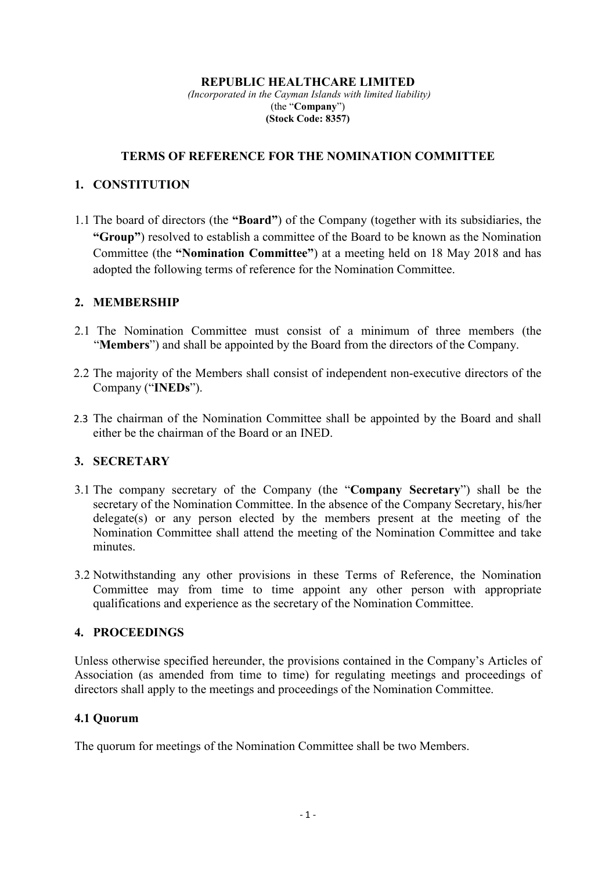#### **REPUBLIC HEALTHCARE LIMITED**

 *(Incorporated in the Cayman Islands with limited liability)*  (the "**Company**") **(Stock Code: 8357)**

#### **TERMS OF REFERENCE FOR THE NOMINATION COMMITTEE**

### **1. CONSTITUTION**

1.1 The board of directors (the **"Board"**) of the Company (together with its subsidiaries, the **"Group"**) resolved to establish a committee of the Board to be known as the Nomination Committee (the **"Nomination Committee"**) at a meeting held on 18 May 2018 and has adopted the following terms of reference for the Nomination Committee.

### **2. MEMBERSHIP**

- 2.1 The Nomination Committee must consist of a minimum of three members (the "**Members**") and shall be appointed by the Board from the directors of the Company.
- 2.2 The majority of the Members shall consist of independent non-executive directors of the Company ("**INEDs**").
- 2.3 The chairman of the Nomination Committee shall be appointed by the Board and shall either be the chairman of the Board or an INED.

## **3. SECRETARY**

- 3.1 The company secretary of the Company (the "**Company Secretary**") shall be the secretary of the Nomination Committee. In the absence of the Company Secretary, his/her delegate(s) or any person elected by the members present at the meeting of the Nomination Committee shall attend the meeting of the Nomination Committee and take minutes.
- 3.2 Notwithstanding any other provisions in these Terms of Reference, the Nomination Committee may from time to time appoint any other person with appropriate qualifications and experience as the secretary of the Nomination Committee.

## **4. PROCEEDINGS**

Unless otherwise specified hereunder, the provisions contained in the Company's Articles of Association (as amended from time to time) for regulating meetings and proceedings of directors shall apply to the meetings and proceedings of the Nomination Committee.

#### **4.1 Quorum**

The quorum for meetings of the Nomination Committee shall be two Members.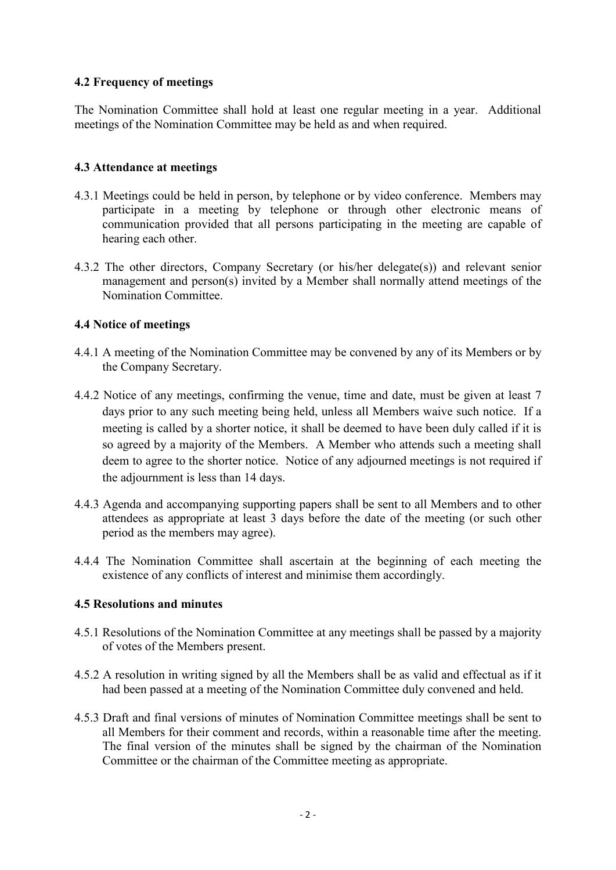## **4.2 Frequency of meetings**

The Nomination Committee shall hold at least one regular meeting in a year. Additional meetings of the Nomination Committee may be held as and when required.

## **4.3 Attendance at meetings**

- 4.3.1 Meetings could be held in person, by telephone or by video conference. Members may participate in a meeting by telephone or through other electronic means of communication provided that all persons participating in the meeting are capable of hearing each other.
- 4.3.2 The other directors, Company Secretary (or his/her delegate(s)) and relevant senior management and person(s) invited by a Member shall normally attend meetings of the Nomination Committee.

## **4.4 Notice of meetings**

- 4.4.1 A meeting of the Nomination Committee may be convened by any of its Members or by the Company Secretary.
- 4.4.2 Notice of any meetings, confirming the venue, time and date, must be given at least 7 days prior to any such meeting being held, unless all Members waive such notice. If a meeting is called by a shorter notice, it shall be deemed to have been duly called if it is so agreed by a majority of the Members. A Member who attends such a meeting shall deem to agree to the shorter notice. Notice of any adjourned meetings is not required if the adjournment is less than 14 days.
- 4.4.3 Agenda and accompanying supporting papers shall be sent to all Members and to other attendees as appropriate at least 3 days before the date of the meeting (or such other period as the members may agree).
- 4.4.4 The Nomination Committee shall ascertain at the beginning of each meeting the existence of any conflicts of interest and minimise them accordingly.

## **4.5 Resolutions and minutes**

- 4.5.1 Resolutions of the Nomination Committee at any meetings shall be passed by a majority of votes of the Members present.
- 4.5.2 A resolution in writing signed by all the Members shall be as valid and effectual as if it had been passed at a meeting of the Nomination Committee duly convened and held.
- 4.5.3 Draft and final versions of minutes of Nomination Committee meetings shall be sent to all Members for their comment and records, within a reasonable time after the meeting. The final version of the minutes shall be signed by the chairman of the Nomination Committee or the chairman of the Committee meeting as appropriate.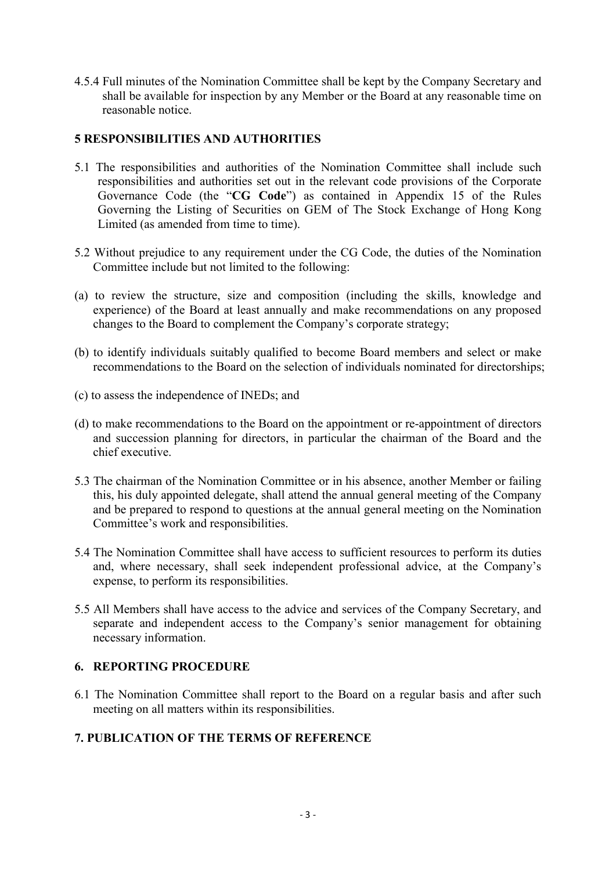4.5.4 Full minutes of the Nomination Committee shall be kept by the Company Secretary and shall be available for inspection by any Member or the Board at any reasonable time on reasonable notice.

# **5 RESPONSIBILITIES AND AUTHORITIES**

- 5.1 The responsibilities and authorities of the Nomination Committee shall include such responsibilities and authorities set out in the relevant code provisions of the Corporate Governance Code (the "**CG Code**") as contained in Appendix 15 of the Rules Governing the Listing of Securities on GEM of The Stock Exchange of Hong Kong Limited (as amended from time to time).
- 5.2 Without prejudice to any requirement under the CG Code, the duties of the Nomination Committee include but not limited to the following:
- (a) to review the structure, size and composition (including the skills, knowledge and experience) of the Board at least annually and make recommendations on any proposed changes to the Board to complement the Company's corporate strategy;
- (b) to identify individuals suitably qualified to become Board members and select or make recommendations to the Board on the selection of individuals nominated for directorships;
- (c) to assess the independence of INEDs; and
- (d) to make recommendations to the Board on the appointment or re-appointment of directors and succession planning for directors, in particular the chairman of the Board and the chief executive.
- 5.3 The chairman of the Nomination Committee or in his absence, another Member or failing this, his duly appointed delegate, shall attend the annual general meeting of the Company and be prepared to respond to questions at the annual general meeting on the Nomination Committee's work and responsibilities.
- 5.4 The Nomination Committee shall have access to sufficient resources to perform its duties and, where necessary, shall seek independent professional advice, at the Company's expense, to perform its responsibilities.
- 5.5 All Members shall have access to the advice and services of the Company Secretary, and separate and independent access to the Company's senior management for obtaining necessary information.

## **6. REPORTING PROCEDURE**

6.1 The Nomination Committee shall report to the Board on a regular basis and after such meeting on all matters within its responsibilities.

## **7. PUBLICATION OF THE TERMS OF REFERENCE**